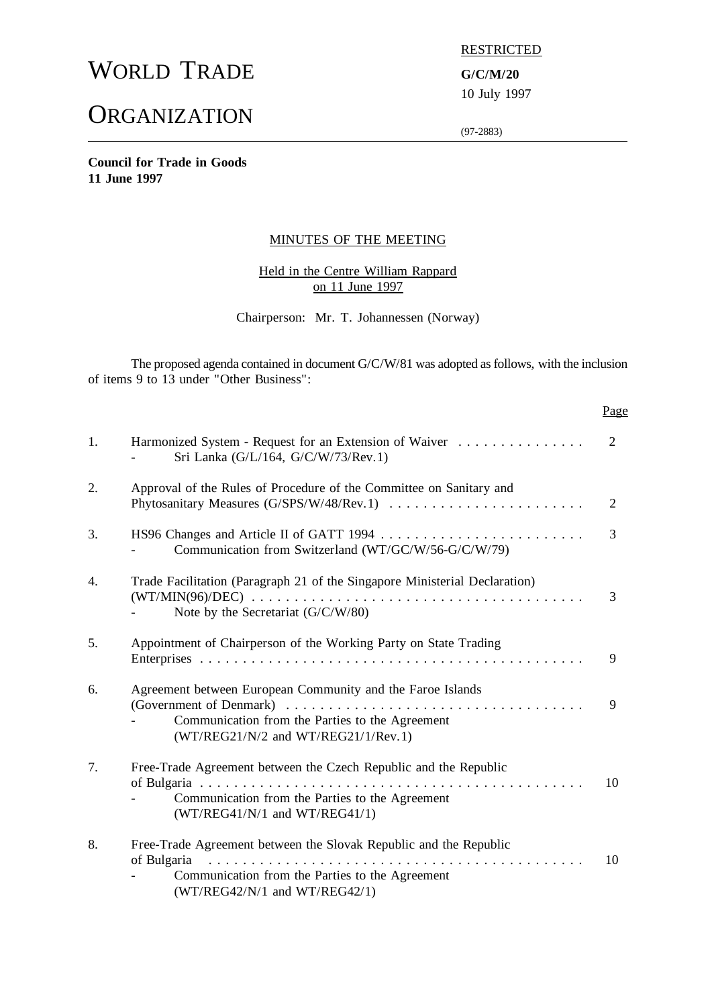# WORLD TRADE **G/C/M/20**

# **ORGANIZATION**

**RESTRICTED** 

10 July 1997

(97-2883)

**Council for Trade in Goods 11 June 1997**

#### MINUTES OF THE MEETING

# Held in the Centre William Rappard on 11 June 1997

Chairperson: Mr. T. Johannessen (Norway)

The proposed agenda contained in document G/C/W/81 was adopted as follows, with the inclusion of items 9 to 13 under "Other Business":

#### Page

| 1. | Harmonized System - Request for an Extension of Waiver<br>Sri Lanka (G/L/164, G/C/W/73/Rev.1)                                                                            | $\overline{2}$ |
|----|--------------------------------------------------------------------------------------------------------------------------------------------------------------------------|----------------|
| 2. | Approval of the Rules of Procedure of the Committee on Sanitary and                                                                                                      | 2              |
| 3. | Communication from Switzerland (WT/GC/W/56-G/C/W/79)                                                                                                                     | 3              |
| 4. | Trade Facilitation (Paragraph 21 of the Singapore Ministerial Declaration)<br>Note by the Secretariat (G/C/W/80)                                                         | 3              |
| 5. | Appointment of Chairperson of the Working Party on State Trading                                                                                                         | 9              |
| 6. | Agreement between European Community and the Faroe Islands<br>Communication from the Parties to the Agreement<br>$(WT/REG21/N/2$ and $WT/REG21/1/Rev.1)$                 | 9              |
| 7. | Free-Trade Agreement between the Czech Republic and the Republic<br>Communication from the Parties to the Agreement<br>$(WT/REG41/N/1$ and $WT/REG41/1)$                 | 10             |
| 8. | Free-Trade Agreement between the Slovak Republic and the Republic<br>of Bulgaria<br>Communication from the Parties to the Agreement<br>$(WT/REG42/N/1$ and $WT/REG42/1)$ | 10             |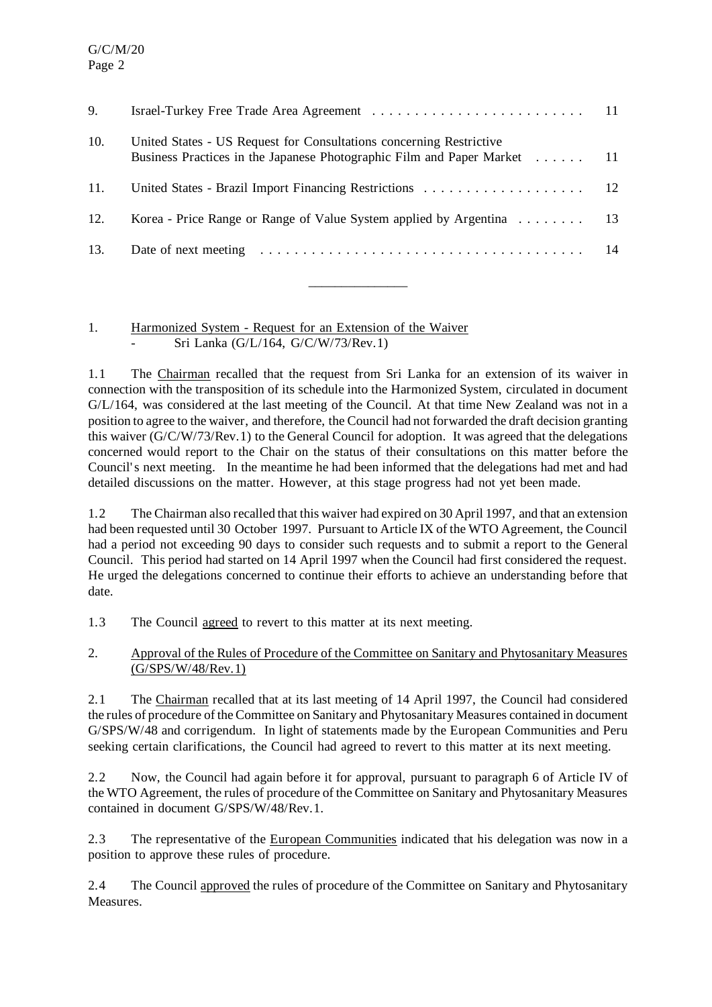| United States - US Request for Consultations concerning Restrictive<br>Business Practices in the Japanese Photographic Film and Paper Market 11 |    |
|-------------------------------------------------------------------------------------------------------------------------------------------------|----|
|                                                                                                                                                 |    |
| Korea - Price Range or Range of Value System applied by Argentina 13                                                                            |    |
|                                                                                                                                                 | 14 |
|                                                                                                                                                 |    |

 $\overline{\phantom{a}}$  , where  $\overline{\phantom{a}}$ 

#### 1. Harmonized System - Request for an Extension of the Waiver Sri Lanka (G/L/164, G/C/W/73/Rev.1)

1.1 The Chairman recalled that the request from Sri Lanka for an extension of its waiver in connection with the transposition of its schedule into the Harmonized System, circulated in document G/L/164, was considered at the last meeting of the Council. At that time New Zealand was not in a position to agree to the waiver, and therefore, the Council had not forwarded the draft decision granting this waiver (G/C/W/73/Rev.1) to the General Council for adoption. It was agreed that the delegations concerned would report to the Chair on the status of their consultations on this matter before the Council's next meeting. In the meantime he had been informed that the delegations had met and had detailed discussions on the matter. However, at this stage progress had not yet been made.

1.2 The Chairman also recalled that this waiver had expired on 30 April 1997, and that an extension had been requested until 30 October 1997. Pursuant to Article IX of the WTO Agreement, the Council had a period not exceeding 90 days to consider such requests and to submit a report to the General Council. This period had started on 14 April 1997 when the Council had first considered the request. He urged the delegations concerned to continue their efforts to achieve an understanding before that date.

1.3 The Council agreed to revert to this matter at its next meeting.

2. Approval of the Rules of Procedure of the Committee on Sanitary and Phytosanitary Measures (G/SPS/W/48/Rev.1)

2.1 The Chairman recalled that at its last meeting of 14 April 1997, the Council had considered the rules of procedure of the Committee on Sanitary and Phytosanitary Measures contained in document G/SPS/W/48 and corrigendum. In light of statements made by the European Communities and Peru seeking certain clarifications, the Council had agreed to revert to this matter at its next meeting.

2.2 Now, the Council had again before it for approval, pursuant to paragraph 6 of Article IV of the WTO Agreement, the rules of procedure of the Committee on Sanitary and Phytosanitary Measures contained in document G/SPS/W/48/Rev.1.

2.3 The representative of the European Communities indicated that his delegation was now in a position to approve these rules of procedure.

2.4 The Council approved the rules of procedure of the Committee on Sanitary and Phytosanitary Measures.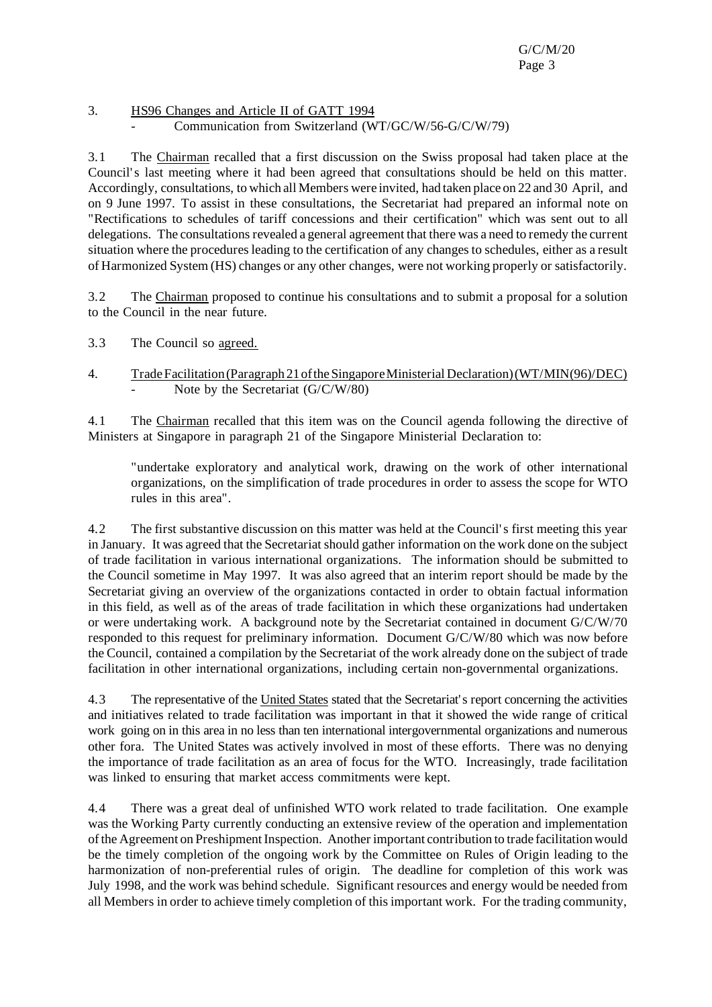#### 3. HS96 Changes and Article II of GATT 1994 - Communication from Switzerland (WT/GC/W/56-G/C/W/79)

3.1 The Chairman recalled that a first discussion on the Swiss proposal had taken place at the Council's last meeting where it had been agreed that consultations should be held on this matter. Accordingly, consultations, to which all Members were invited, had taken place on 22 and 30 April, and on 9 June 1997. To assist in these consultations, the Secretariat had prepared an informal note on "Rectifications to schedules of tariff concessions and their certification" which was sent out to all delegations. The consultations revealed a general agreement that there was a need to remedy the current situation where the procedures leading to the certification of any changes to schedules, either as a result of Harmonized System (HS) changes or any other changes, were not working properly orsatisfactorily.

3.2 The Chairman proposed to continue his consultations and to submit a proposal for a solution to the Council in the near future.

- 3.3 The Council so agreed.
- 4. TradeFacilitation(Paragraph 21oftheSingaporeMinisterial Declaration)(WT/MIN(96)/DEC) Note by the Secretariat  $(G/C/W/80)$

4.1 The Chairman recalled that this item was on the Council agenda following the directive of Ministers at Singapore in paragraph 21 of the Singapore Ministerial Declaration to:

"undertake exploratory and analytical work, drawing on the work of other international organizations, on the simplification of trade procedures in order to assess the scope for WTO rules in this area".

4.2 The first substantive discussion on this matter was held at the Council's first meeting this year in January. It was agreed that the Secretariat should gather information on the work done on the subject of trade facilitation in various international organizations. The information should be submitted to the Council sometime in May 1997. It was also agreed that an interim report should be made by the Secretariat giving an overview of the organizations contacted in order to obtain factual information in this field, as well as of the areas of trade facilitation in which these organizations had undertaken or were undertaking work. A background note by the Secretariat contained in document G/C/W/70 responded to this request for preliminary information. Document G/C/W/80 which was now before the Council, contained a compilation by the Secretariat of the work already done on the subject of trade facilitation in other international organizations, including certain non-governmental organizations.

4.3 The representative of the United States stated that the Secretariat's report concerning the activities and initiatives related to trade facilitation was important in that it showed the wide range of critical work going on in this area in no less than ten international intergovernmental organizations and numerous other fora. The United States was actively involved in most of these efforts. There was no denying the importance of trade facilitation as an area of focus for the WTO. Increasingly, trade facilitation was linked to ensuring that market access commitments were kept.

4.4 There was a great deal of unfinished WTO work related to trade facilitation. One example was the Working Party currently conducting an extensive review of the operation and implementation of the Agreement on Preshipment Inspection. Another important contribution to trade facilitation would be the timely completion of the ongoing work by the Committee on Rules of Origin leading to the harmonization of non-preferential rules of origin. The deadline for completion of this work was July 1998, and the work was behind schedule. Significant resources and energy would be needed from all Members in order to achieve timely completion of this important work. For the trading community,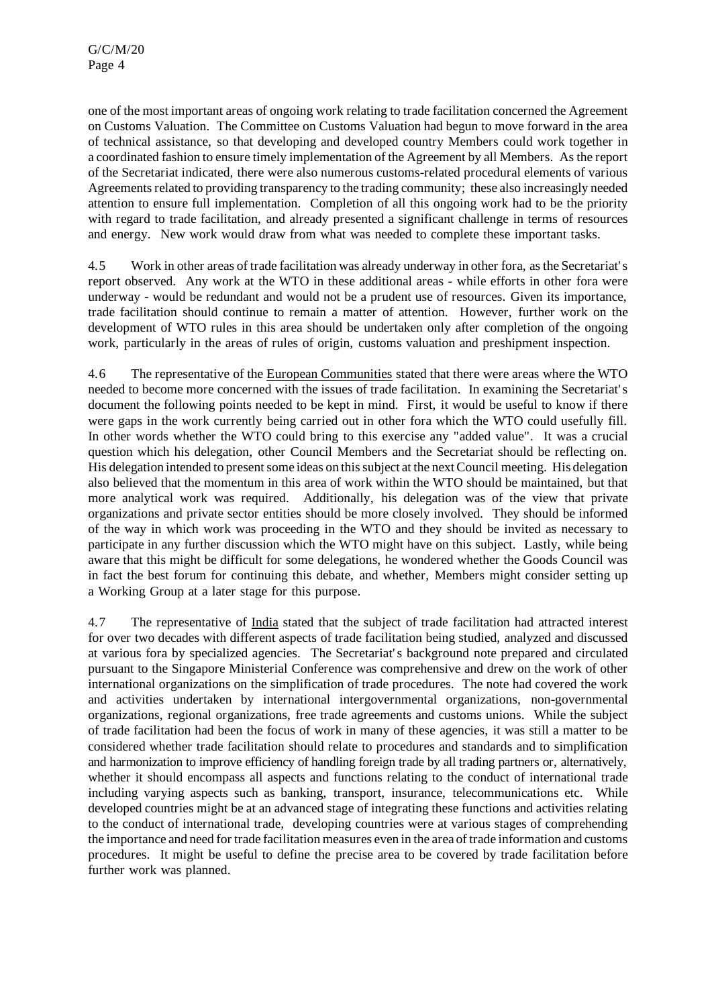one of the most important areas of ongoing work relating to trade facilitation concerned the Agreement on Customs Valuation. The Committee on Customs Valuation had begun to move forward in the area of technical assistance, so that developing and developed country Members could work together in a coordinated fashion to ensure timely implementation of the Agreement by all Members. Asthe report of the Secretariat indicated, there were also numerous customs-related procedural elements of various Agreements related to providing transparency to the trading community; these also increasingly needed attention to ensure full implementation. Completion of all this ongoing work had to be the priority with regard to trade facilitation, and already presented a significant challenge in terms of resources and energy. New work would draw from what was needed to complete these important tasks.

4.5 Work in other areas of trade facilitation was already underway in other fora, asthe Secretariat's report observed. Any work at the WTO in these additional areas - while efforts in other fora were underway - would be redundant and would not be a prudent use of resources. Given its importance, trade facilitation should continue to remain a matter of attention. However, further work on the development of WTO rules in this area should be undertaken only after completion of the ongoing work, particularly in the areas of rules of origin, customs valuation and preshipment inspection.

4.6 The representative of the European Communities stated that there were areas where the WTO needed to become more concerned with the issues of trade facilitation. In examining the Secretariat's document the following points needed to be kept in mind. First, it would be useful to know if there were gaps in the work currently being carried out in other fora which the WTO could usefully fill. In other words whether the WTO could bring to this exercise any "added value". It was a crucial question which his delegation, other Council Members and the Secretariat should be reflecting on. His delegation intended to present some ideas on this subject at the next Council meeting. His delegation also believed that the momentum in this area of work within the WTO should be maintained, but that more analytical work was required. Additionally, his delegation was of the view that private organizations and private sector entities should be more closely involved. They should be informed of the way in which work was proceeding in the WTO and they should be invited as necessary to participate in any further discussion which the WTO might have on this subject. Lastly, while being aware that this might be difficult for some delegations, he wondered whether the Goods Council was in fact the best forum for continuing this debate, and whether, Members might consider setting up a Working Group at a later stage for this purpose.

4.7 The representative of India stated that the subject of trade facilitation had attracted interest for over two decades with different aspects of trade facilitation being studied, analyzed and discussed at various fora by specialized agencies. The Secretariat's background note prepared and circulated pursuant to the Singapore Ministerial Conference was comprehensive and drew on the work of other international organizations on the simplification of trade procedures. The note had covered the work and activities undertaken by international intergovernmental organizations, non-governmental organizations, regional organizations, free trade agreements and customs unions. While the subject of trade facilitation had been the focus of work in many of these agencies, it was still a matter to be considered whether trade facilitation should relate to procedures and standards and to simplification and harmonization to improve efficiency of handling foreign trade by all trading partners or, alternatively, whether it should encompass all aspects and functions relating to the conduct of international trade including varying aspects such as banking, transport, insurance, telecommunications etc. While developed countries might be at an advanced stage of integrating these functions and activities relating to the conduct of international trade, developing countries were at various stages of comprehending the importance and need fortrade facilitation measures even in the area of trade information and customs procedures. It might be useful to define the precise area to be covered by trade facilitation before further work was planned.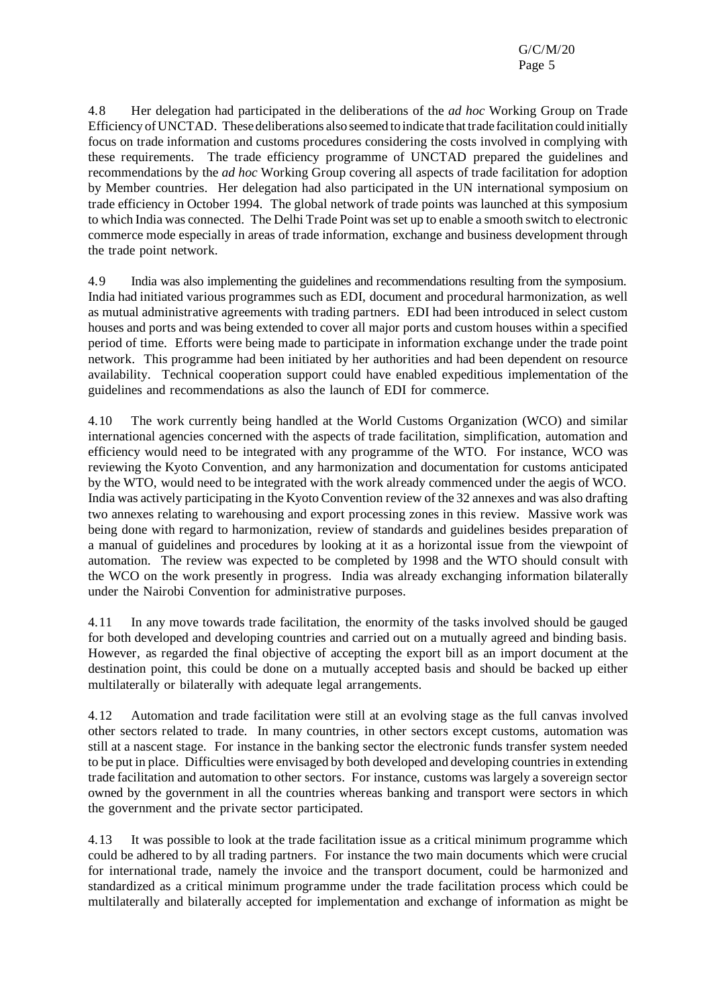G/C/M/20 Page 5

4.8 Her delegation had participated in the deliberations of the *ad hoc* Working Group on Trade Efficiency of UNCTAD. These deliberations also seemed to indicate that trade facilitation could initially focus on trade information and customs procedures considering the costs involved in complying with these requirements. The trade efficiency programme of UNCTAD prepared the guidelines and recommendations by the *ad hoc* Working Group covering all aspects of trade facilitation for adoption by Member countries. Her delegation had also participated in the UN international symposium on trade efficiency in October 1994. The global network of trade points was launched at this symposium to which India was connected. The Delhi Trade Point wasset up to enable a smooth switch to electronic commerce mode especially in areas of trade information, exchange and business development through the trade point network.

4.9 India was also implementing the guidelines and recommendations resulting from the symposium. India had initiated various programmes such as EDI, document and procedural harmonization, as well as mutual administrative agreements with trading partners. EDI had been introduced in select custom houses and ports and was being extended to cover all major ports and custom houses within a specified period of time. Efforts were being made to participate in information exchange under the trade point network. This programme had been initiated by her authorities and had been dependent on resource availability. Technical cooperation support could have enabled expeditious implementation of the guidelines and recommendations as also the launch of EDI for commerce.

4.10 The work currently being handled at the World Customs Organization (WCO) and similar international agencies concerned with the aspects of trade facilitation, simplification, automation and efficiency would need to be integrated with any programme of the WTO. For instance, WCO was reviewing the Kyoto Convention, and any harmonization and documentation for customs anticipated by the WTO, would need to be integrated with the work already commenced under the aegis of WCO. India was actively participating in the Kyoto Convention review of the 32 annexes and was also drafting two annexes relating to warehousing and export processing zones in this review. Massive work was being done with regard to harmonization, review of standards and guidelines besides preparation of a manual of guidelines and procedures by looking at it as a horizontal issue from the viewpoint of automation. The review was expected to be completed by 1998 and the WTO should consult with the WCO on the work presently in progress. India was already exchanging information bilaterally under the Nairobi Convention for administrative purposes.

4.11 In any move towards trade facilitation, the enormity of the tasks involved should be gauged for both developed and developing countries and carried out on a mutually agreed and binding basis. However, as regarded the final objective of accepting the export bill as an import document at the destination point, this could be done on a mutually accepted basis and should be backed up either multilaterally or bilaterally with adequate legal arrangements.

4.12 Automation and trade facilitation were still at an evolving stage as the full canvas involved other sectors related to trade. In many countries, in other sectors except customs, automation was still at a nascent stage. For instance in the banking sector the electronic funds transfer system needed to be put in place. Difficulties were envisaged by both developed and developing countries in extending trade facilitation and automation to other sectors. For instance, customs was largely a sovereign sector owned by the government in all the countries whereas banking and transport were sectors in which the government and the private sector participated.

4.13 It was possible to look at the trade facilitation issue as a critical minimum programme which could be adhered to by all trading partners. For instance the two main documents which were crucial for international trade, namely the invoice and the transport document, could be harmonized and standardized as a critical minimum programme under the trade facilitation process which could be multilaterally and bilaterally accepted for implementation and exchange of information as might be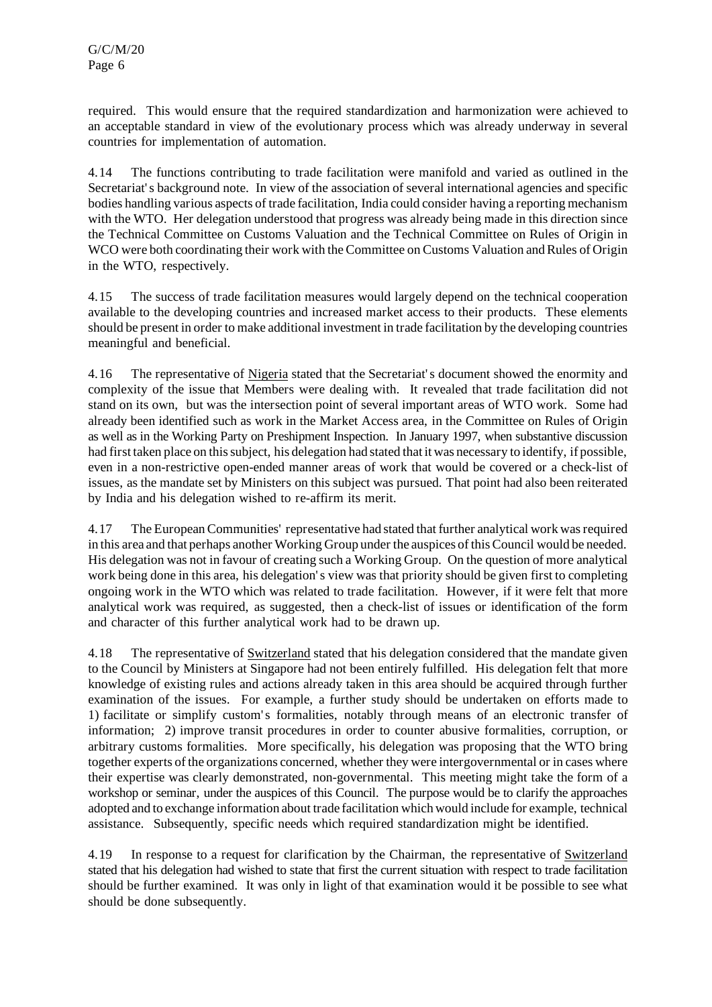required. This would ensure that the required standardization and harmonization were achieved to an acceptable standard in view of the evolutionary process which was already underway in several countries for implementation of automation.

4.14 The functions contributing to trade facilitation were manifold and varied as outlined in the Secretariat's background note. In view of the association of several international agencies and specific bodies handling various aspects of trade facilitation, India could consider having a reporting mechanism with the WTO. Her delegation understood that progress was already being made in this direction since the Technical Committee on Customs Valuation and the Technical Committee on Rules of Origin in WCO were both coordinating their work with the Committee on Customs Valuation and Rules of Origin in the WTO, respectively.

4.15 The success of trade facilitation measures would largely depend on the technical cooperation available to the developing countries and increased market access to their products. These elements should be present in order to make additional investment in trade facilitation by the developing countries meaningful and beneficial.

4.16 The representative of Nigeria stated that the Secretariat's document showed the enormity and complexity of the issue that Members were dealing with. It revealed that trade facilitation did not stand on its own, but was the intersection point of several important areas of WTO work. Some had already been identified such as work in the Market Access area, in the Committee on Rules of Origin as well as in the Working Party on Preshipment Inspection. In January 1997, when substantive discussion had first taken place on this subject, his delegation had stated that it was necessary to identify, if possible, even in a non-restrictive open-ended manner areas of work that would be covered or a check-list of issues, as the mandate set by Ministers on this subject was pursued. That point had also been reiterated by India and his delegation wished to re-affirm its merit.

4.17 The EuropeanCommunities' representative had stated that further analytical work wasrequired in this area and that perhaps another Working Group under the auspices of this Council would be needed. His delegation was not in favour of creating such a Working Group. On the question of more analytical work being done in this area, his delegation's view was that priority should be given first to completing ongoing work in the WTO which was related to trade facilitation. However, if it were felt that more analytical work was required, as suggested, then a check-list of issues or identification of the form and character of this further analytical work had to be drawn up.

4.18 The representative of Switzerland stated that his delegation considered that the mandate given to the Council by Ministers at Singapore had not been entirely fulfilled. His delegation felt that more knowledge of existing rules and actions already taken in this area should be acquired through further examination of the issues. For example, a further study should be undertaken on efforts made to 1) facilitate or simplify custom's formalities, notably through means of an electronic transfer of information; 2) improve transit procedures in order to counter abusive formalities, corruption, or arbitrary customs formalities. More specifically, his delegation was proposing that the WTO bring together experts of the organizations concerned, whether they were intergovernmental or in cases where their expertise was clearly demonstrated, non-governmental. This meeting might take the form of a workshop or seminar, under the auspices of this Council. The purpose would be to clarify the approaches adopted and to exchange information about trade facilitation which would include for example, technical assistance. Subsequently, specific needs which required standardization might be identified.

4.19 In response to a request for clarification by the Chairman, the representative of Switzerland stated that his delegation had wished to state that first the current situation with respect to trade facilitation should be further examined. It was only in light of that examination would it be possible to see what should be done subsequently.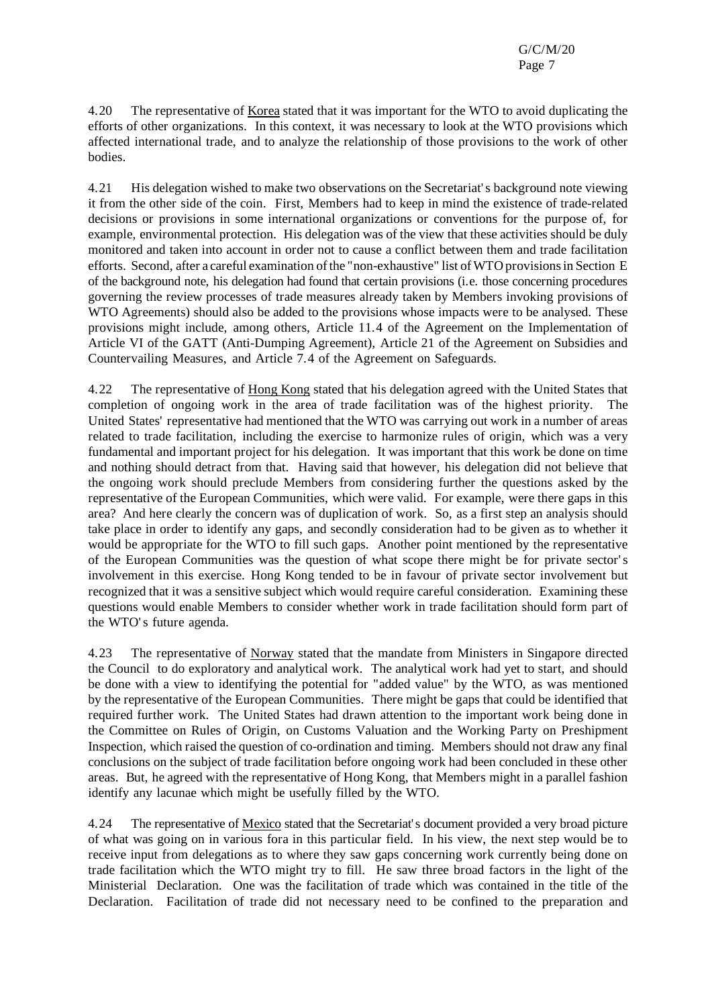4.20 The representative of Korea stated that it was important for the WTO to avoid duplicating the efforts of other organizations. In this context, it was necessary to look at the WTO provisions which affected international trade, and to analyze the relationship of those provisions to the work of other bodies.

4.21 His delegation wished to make two observations on the Secretariat's background note viewing it from the other side of the coin. First, Members had to keep in mind the existence of trade-related decisions or provisions in some international organizations or conventions for the purpose of, for example, environmental protection. His delegation was of the view that these activities should be duly monitored and taken into account in order not to cause a conflict between them and trade facilitation efforts. Second, after a careful examination ofthe "non-exhaustive" list ofWTO provisionsin Section E of the background note, his delegation had found that certain provisions (i.e. those concerning procedures governing the review processes of trade measures already taken by Members invoking provisions of WTO Agreements) should also be added to the provisions whose impacts were to be analysed. These provisions might include, among others, Article 11.4 of the Agreement on the Implementation of Article VI of the GATT (Anti-Dumping Agreement), Article 21 of the Agreement on Subsidies and Countervailing Measures, and Article 7.4 of the Agreement on Safeguards.

4.22 The representative of Hong Kong stated that his delegation agreed with the United States that completion of ongoing work in the area of trade facilitation was of the highest priority. The United States' representative had mentioned that the WTO was carrying out work in a number of areas related to trade facilitation, including the exercise to harmonize rules of origin, which was a very fundamental and important project for his delegation. It was important that this work be done on time and nothing should detract from that. Having said that however, his delegation did not believe that the ongoing work should preclude Members from considering further the questions asked by the representative of the European Communities, which were valid. For example, were there gaps in this area? And here clearly the concern was of duplication of work. So, as a first step an analysis should take place in order to identify any gaps, and secondly consideration had to be given as to whether it would be appropriate for the WTO to fill such gaps. Another point mentioned by the representative of the European Communities was the question of what scope there might be for private sector's involvement in this exercise. Hong Kong tended to be in favour of private sector involvement but recognized that it was a sensitive subject which would require careful consideration. Examining these questions would enable Members to consider whether work in trade facilitation should form part of the WTO's future agenda.

4.23 The representative of Norway stated that the mandate from Ministers in Singapore directed the Council to do exploratory and analytical work. The analytical work had yet to start, and should be done with a view to identifying the potential for "added value" by the WTO, as was mentioned by the representative of the European Communities. There might be gaps that could be identified that required further work. The United States had drawn attention to the important work being done in the Committee on Rules of Origin, on Customs Valuation and the Working Party on Preshipment Inspection, which raised the question of co-ordination and timing. Members should not draw any final conclusions on the subject of trade facilitation before ongoing work had been concluded in these other areas. But, he agreed with the representative of Hong Kong, that Members might in a parallel fashion identify any lacunae which might be usefully filled by the WTO.

4.24 The representative of Mexico stated that the Secretariat's document provided a very broad picture of what was going on in various fora in this particular field. In his view, the next step would be to receive input from delegations as to where they saw gaps concerning work currently being done on trade facilitation which the WTO might try to fill. He saw three broad factors in the light of the Ministerial Declaration. One was the facilitation of trade which was contained in the title of the Declaration. Facilitation of trade did not necessary need to be confined to the preparation and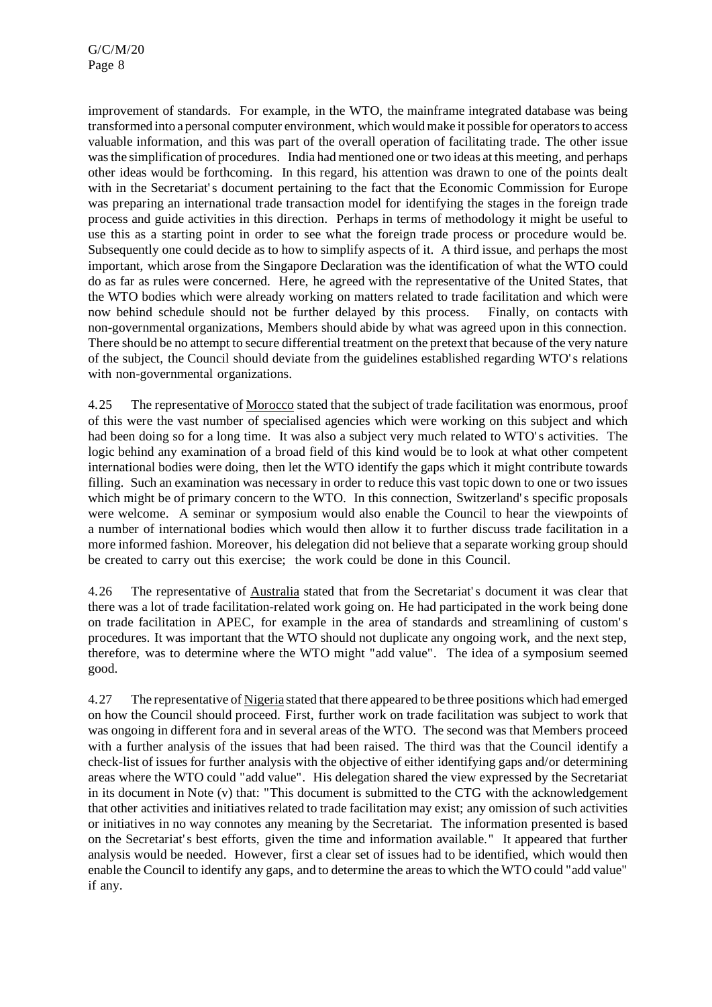improvement of standards. For example, in the WTO, the mainframe integrated database was being transformed into a personal computer environment, which wouldmake it possible for operatorsto access valuable information, and this was part of the overall operation of facilitating trade. The other issue wasthe simplification of procedures. India had mentioned one ortwo ideas at this meeting, and perhaps other ideas would be forthcoming. In this regard, his attention was drawn to one of the points dealt with in the Secretariat's document pertaining to the fact that the Economic Commission for Europe was preparing an international trade transaction model for identifying the stages in the foreign trade process and guide activities in this direction. Perhaps in terms of methodology it might be useful to use this as a starting point in order to see what the foreign trade process or procedure would be. Subsequently one could decide as to how to simplify aspects of it. A third issue, and perhaps the most important, which arose from the Singapore Declaration was the identification of what the WTO could do as far as rules were concerned. Here, he agreed with the representative of the United States, that the WTO bodies which were already working on matters related to trade facilitation and which were now behind schedule should not be further delayed by this process. Finally, on contacts with non-governmental organizations, Members should abide by what was agreed upon in this connection. There should be no attempt to secure differential treatment on the pretext that because of the very nature of the subject, the Council should deviate from the guidelines established regarding WTO's relations with non-governmental organizations.

4.25 The representative of Morocco stated that the subject of trade facilitation was enormous, proof of this were the vast number of specialised agencies which were working on this subject and which had been doing so for a long time. It was also a subject very much related to WTO's activities. The logic behind any examination of a broad field of this kind would be to look at what other competent international bodies were doing, then let the WTO identify the gaps which it might contribute towards filling. Such an examination was necessary in order to reduce this vast topic down to one or two issues which might be of primary concern to the WTO. In this connection, Switzerland's specific proposals were welcome. A seminar or symposium would also enable the Council to hear the viewpoints of a number of international bodies which would then allow it to further discuss trade facilitation in a more informed fashion. Moreover, his delegation did not believe that a separate working group should be created to carry out this exercise; the work could be done in this Council.

4.26 The representative of Australia stated that from the Secretariat's document it was clear that there was a lot of trade facilitation-related work going on. He had participated in the work being done on trade facilitation in APEC, for example in the area of standards and streamlining of custom's procedures. It was important that the WTO should not duplicate any ongoing work, and the next step, therefore, was to determine where the WTO might "add value". The idea of a symposium seemed good.

4.27 The representative of Nigeria stated that there appeared to be three positions which had emerged on how the Council should proceed. First, further work on trade facilitation was subject to work that was ongoing in different fora and in several areas of the WTO. The second was that Members proceed with a further analysis of the issues that had been raised. The third was that the Council identify a check-list of issues for further analysis with the objective of either identifying gaps and/or determining areas where the WTO could "add value". His delegation shared the view expressed by the Secretariat in its document in Note (v) that: "This document is submitted to the CTG with the acknowledgement that other activities and initiatives related to trade facilitation may exist; any omission of such activities or initiatives in no way connotes any meaning by the Secretariat. The information presented is based on the Secretariat's best efforts, given the time and information available." It appeared that further analysis would be needed. However, first a clear set of issues had to be identified, which would then enable the Council to identify any gaps, and to determine the areas to which the WTO could "add value" if any.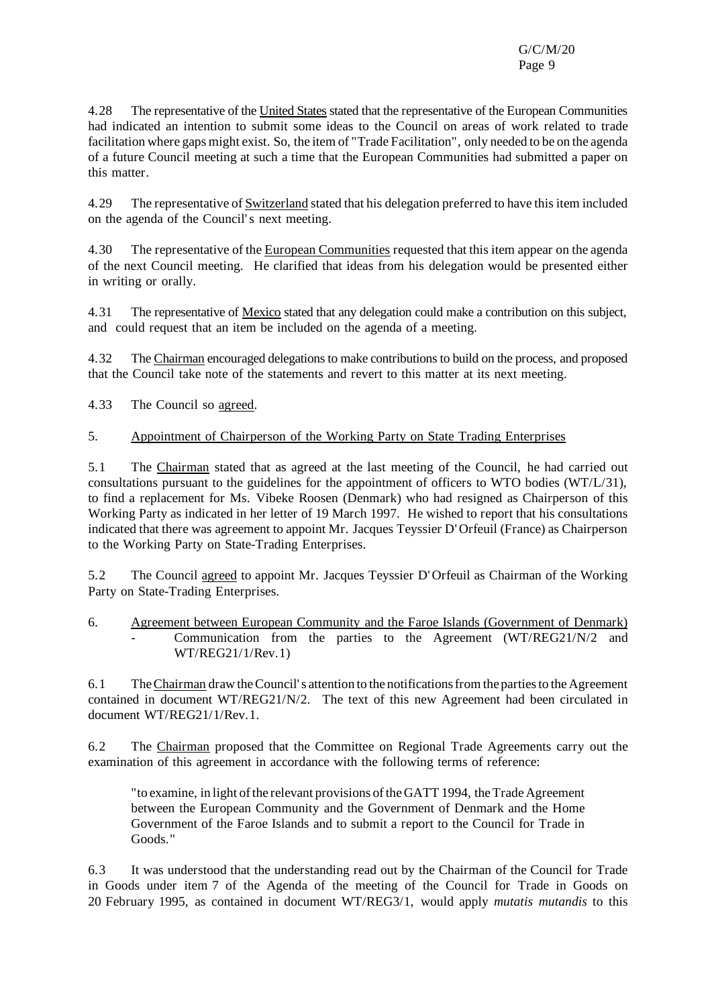4.28 The representative of the United States stated that the representative of the European Communities had indicated an intention to submit some ideas to the Council on areas of work related to trade facilitation where gaps might exist. So, the item of "Trade Facilitation", only needed to be on the agenda of a future Council meeting at such a time that the European Communities had submitted a paper on this matter.

4.29 The representative of Switzerland stated that his delegation preferred to have thisitem included on the agenda of the Council's next meeting.

4.30 The representative of the European Communities requested that this item appear on the agenda of the next Council meeting. He clarified that ideas from his delegation would be presented either in writing or orally.

4.31 The representative of Mexico stated that any delegation could make a contribution on this subject, and could request that an item be included on the agenda of a meeting.

4.32 The Chairman encouraged delegationsto make contributionsto build on the process, and proposed that the Council take note of the statements and revert to this matter at its next meeting.

4.33 The Council so agreed.

#### 5. Appointment of Chairperson of the Working Party on State Trading Enterprises

5.1 The Chairman stated that as agreed at the last meeting of the Council, he had carried out consultations pursuant to the guidelines for the appointment of officers to WTO bodies (WT/L/31), to find a replacement for Ms. Vibeke Roosen (Denmark) who had resigned as Chairperson of this Working Party as indicated in her letter of 19 March 1997. He wished to report that his consultations indicated that there was agreement to appoint Mr. Jacques Teyssier D'Orfeuil (France) as Chairperson to the Working Party on State-Trading Enterprises.

5.2 The Council agreed to appoint Mr. Jacques Teyssier D'Orfeuil as Chairman of the Working Party on State-Trading Enterprises.

6. Agreement between European Community and the Faroe Islands (Government of Denmark) - Communication from the parties to the Agreement (WT/REG21/N/2 and WT/REG21/1/Rev.1)

6.1 TheChairman draw theCouncil's attention to the notificationsfromthe partiesto the Agreement contained in document WT/REG21/N/2. The text of this new Agreement had been circulated in document WT/REG21/1/Rev.1.

6.2 The Chairman proposed that the Committee on Regional Trade Agreements carry out the examination of this agreement in accordance with the following terms of reference:

"to examine, in light of the relevant provisions of the GATT 1994, the Trade Agreement between the European Community and the Government of Denmark and the Home Government of the Faroe Islands and to submit a report to the Council for Trade in Goods."

6.3 It was understood that the understanding read out by the Chairman of the Council for Trade in Goods under item 7 of the Agenda of the meeting of the Council for Trade in Goods on 20 February 1995, as contained in document WT/REG3/1, would apply *mutatis mutandis* to this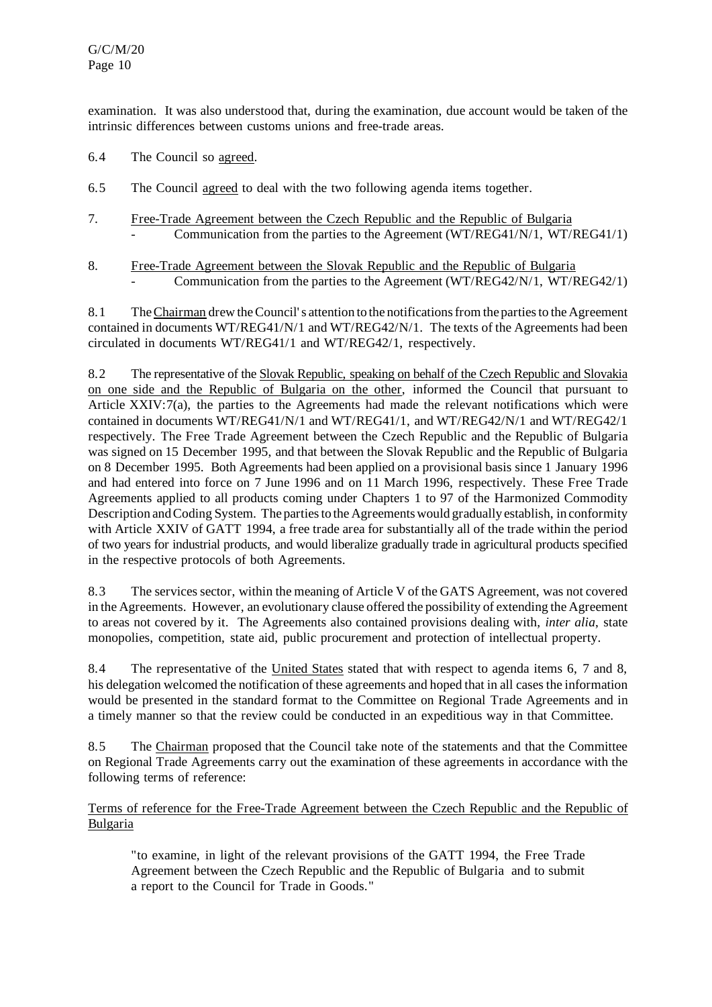examination. It was also understood that, during the examination, due account would be taken of the intrinsic differences between customs unions and free-trade areas.

- 6.4 The Council so agreed.
- 6.5 The Council agreed to deal with the two following agenda items together.
- 7. Free-Trade Agreement between the Czech Republic and the Republic of Bulgaria Communication from the parties to the Agreement  $(WT/REG41/N/1, WT/REG41/1)$
- 8. Free-Trade Agreement between the Slovak Republic and the Republic of Bulgaria Communication from the parties to the Agreement (WT/REG42/N/1, WT/REG42/1)

8.1 TheChairman drew theCouncil's attention to the notificationsfromthe partiesto the Agreement contained in documents WT/REG41/N/1 and WT/REG42/N/1. The texts of the Agreements had been circulated in documents WT/REG41/1 and WT/REG42/1, respectively.

8.2 The representative of the Slovak Republic, speaking on behalf of the Czech Republic and Slovakia on one side and the Republic of Bulgaria on the other, informed the Council that pursuant to Article XXIV:7(a), the parties to the Agreements had made the relevant notifications which were contained in documents WT/REG41/N/1 and WT/REG41/1, and WT/REG42/N/1 and WT/REG42/1 respectively. The Free Trade Agreement between the Czech Republic and the Republic of Bulgaria was signed on 15 December 1995, and that between the Slovak Republic and the Republic of Bulgaria on 8 December 1995. Both Agreements had been applied on a provisional basis since 1 January 1996 and had entered into force on 7 June 1996 and on 11 March 1996, respectively. These Free Trade Agreements applied to all products coming under Chapters 1 to 97 of the Harmonized Commodity Description and Coding System. The parties to the Agreements would gradually establish, in conformity with Article XXIV of GATT 1994, a free trade area for substantially all of the trade within the period of two years for industrial products, and would liberalize gradually trade in agricultural products specified in the respective protocols of both Agreements.

8.3 The services sector, within the meaning of Article V of the GATS Agreement, was not covered in the Agreements. However, an evolutionary clause offered the possibility of extending the Agreement to areas not covered by it. The Agreements also contained provisions dealing with, *inter alia*, state monopolies, competition, state aid, public procurement and protection of intellectual property.

8.4 The representative of the United States stated that with respect to agenda items 6, 7 and 8, his delegation welcomed the notification of these agreements and hoped that in all cases the information would be presented in the standard format to the Committee on Regional Trade Agreements and in a timely manner so that the review could be conducted in an expeditious way in that Committee.

8.5 The Chairman proposed that the Council take note of the statements and that the Committee on Regional Trade Agreements carry out the examination of these agreements in accordance with the following terms of reference:

Terms of reference for the Free-Trade Agreement between the Czech Republic and the Republic of Bulgaria

"to examine, in light of the relevant provisions of the GATT 1994, the Free Trade Agreement between the Czech Republic and the Republic of Bulgaria and to submit a report to the Council for Trade in Goods."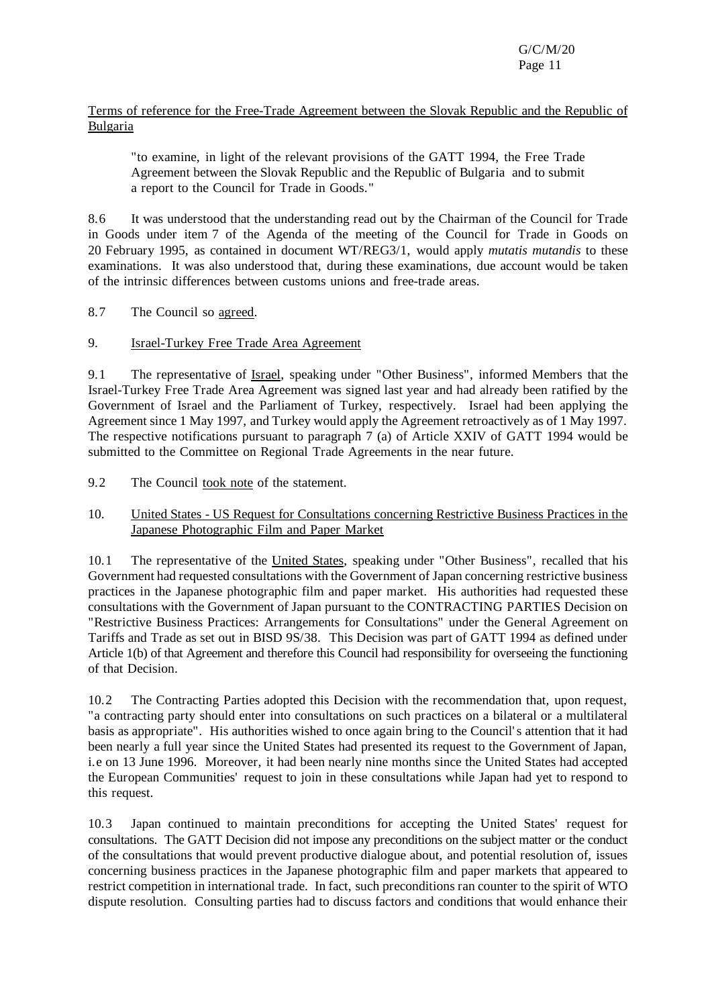G/C/M/20 Page 11

#### Terms of reference for the Free-Trade Agreement between the Slovak Republic and the Republic of Bulgaria

"to examine, in light of the relevant provisions of the GATT 1994, the Free Trade Agreement between the Slovak Republic and the Republic of Bulgaria and to submit a report to the Council for Trade in Goods."

8.6 It was understood that the understanding read out by the Chairman of the Council for Trade in Goods under item 7 of the Agenda of the meeting of the Council for Trade in Goods on 20 February 1995, as contained in document WT/REG3/1, would apply *mutatis mutandis* to these examinations. It was also understood that, during these examinations, due account would be taken of the intrinsic differences between customs unions and free-trade areas.

8.7 The Council so agreed.

# 9. Israel-Turkey Free Trade Area Agreement

9.1 The representative of Israel, speaking under "Other Business", informed Members that the Israel-Turkey Free Trade Area Agreement was signed last year and had already been ratified by the Government of Israel and the Parliament of Turkey, respectively. Israel had been applying the Agreement since 1 May 1997, and Turkey would apply the Agreement retroactively as of 1 May 1997. The respective notifications pursuant to paragraph 7 (a) of Article XXIV of GATT 1994 would be submitted to the Committee on Regional Trade Agreements in the near future.

9.2 The Council took note of the statement.

# 10. United States - US Request for Consultations concerning Restrictive Business Practices in the Japanese Photographic Film and Paper Market

10.1 The representative of the United States, speaking under "Other Business", recalled that his Government had requested consultations with the Government of Japan concerning restrictive business practices in the Japanese photographic film and paper market. His authorities had requested these consultations with the Government of Japan pursuant to the CONTRACTING PARTIES Decision on "Restrictive Business Practices: Arrangements for Consultations" under the General Agreement on Tariffs and Trade as set out in BISD 9S/38. This Decision was part of GATT 1994 as defined under Article 1(b) of that Agreement and therefore this Council had responsibility for overseeing the functioning of that Decision.

10.2 The Contracting Parties adopted this Decision with the recommendation that, upon request, "a contracting party should enter into consultations on such practices on a bilateral or a multilateral basis as appropriate". His authorities wished to once again bring to the Council's attention that it had been nearly a full year since the United States had presented its request to the Government of Japan, i.e on 13 June 1996. Moreover, it had been nearly nine months since the United States had accepted the European Communities' request to join in these consultations while Japan had yet to respond to this request.

10.3 Japan continued to maintain preconditions for accepting the United States' request for consultations. The GATT Decision did not impose any preconditions on the subject matter or the conduct of the consultations that would prevent productive dialogue about, and potential resolution of, issues concerning business practices in the Japanese photographic film and paper markets that appeared to restrict competition in international trade. In fact, such preconditions ran counter to the spirit of WTO dispute resolution. Consulting parties had to discuss factors and conditions that would enhance their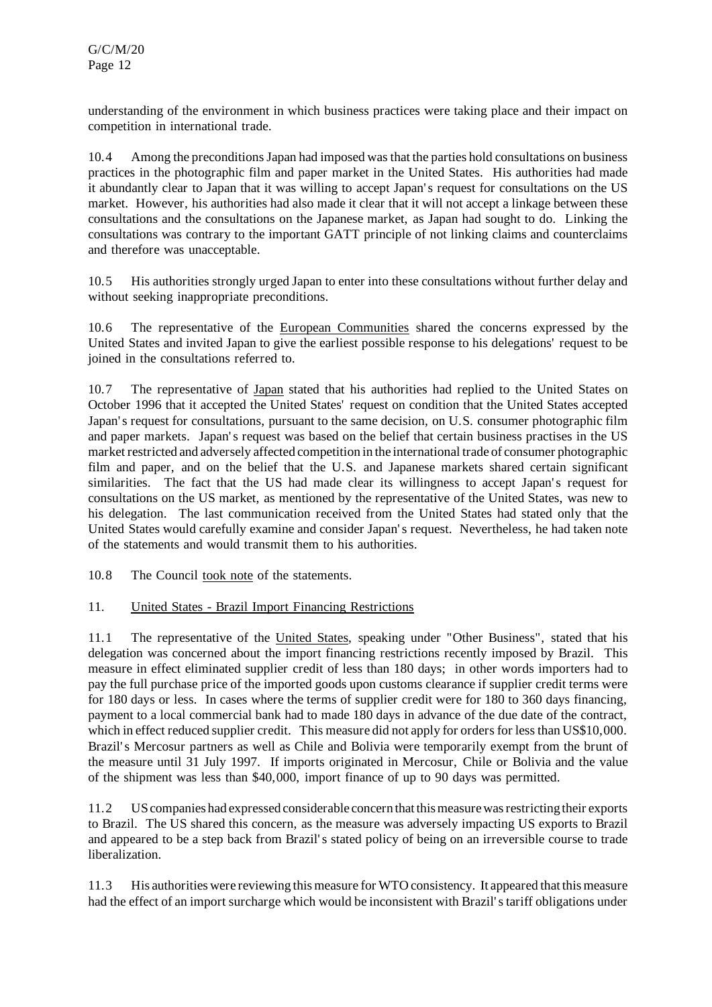understanding of the environment in which business practices were taking place and their impact on competition in international trade.

10.4 Among the preconditionsJapan had imposed wasthat the parties hold consultations on business practices in the photographic film and paper market in the United States. His authorities had made it abundantly clear to Japan that it was willing to accept Japan's request for consultations on the US market. However, his authorities had also made it clear that it will not accept a linkage between these consultations and the consultations on the Japanese market, as Japan had sought to do. Linking the consultations was contrary to the important GATT principle of not linking claims and counterclaims and therefore was unacceptable.

10.5 His authorities strongly urged Japan to enter into these consultations without further delay and without seeking inappropriate preconditions.

10.6 The representative of the European Communities shared the concerns expressed by the United States and invited Japan to give the earliest possible response to his delegations' request to be joined in the consultations referred to.

10.7 The representative of Japan stated that his authorities had replied to the United States on October 1996 that it accepted the United States' request on condition that the United States accepted Japan's request for consultations, pursuant to the same decision, on U.S. consumer photographic film and paper markets. Japan's request was based on the belief that certain business practises in the US market restricted and adversely affected competition in the international trade of consumer photographic film and paper, and on the belief that the U.S. and Japanese markets shared certain significant similarities. The fact that the US had made clear its willingness to accept Japan's request for consultations on the US market, as mentioned by the representative of the United States, was new to his delegation. The last communication received from the United States had stated only that the United States would carefully examine and consider Japan's request. Nevertheless, he had taken note of the statements and would transmit them to his authorities.

10.8 The Council took note of the statements.

# 11. United States - Brazil Import Financing Restrictions

11.1 The representative of the United States, speaking under "Other Business", stated that his delegation was concerned about the import financing restrictions recently imposed by Brazil. This measure in effect eliminated supplier credit of less than 180 days; in other words importers had to pay the full purchase price of the imported goods upon customs clearance if supplier credit terms were for 180 days or less. In cases where the terms of supplier credit were for 180 to 360 days financing, payment to a local commercial bank had to made 180 days in advance of the due date of the contract, which in effect reduced supplier credit. This measure did not apply for orders for less than US\$10,000. Brazil's Mercosur partners as well as Chile and Bolivia were temporarily exempt from the brunt of the measure until 31 July 1997. If imports originated in Mercosur, Chile or Bolivia and the value of the shipment was less than \$40,000, import finance of up to 90 days was permitted.

11.2 UScompanies had expressed considerable concern thatthismeasurewasrestricting their exports to Brazil. The US shared this concern, as the measure was adversely impacting US exports to Brazil and appeared to be a step back from Brazil's stated policy of being on an irreversible course to trade liberalization.

11.3 His authorities were reviewing thismeasure forWTO consistency. It appeared that thismeasure had the effect of an import surcharge which would be inconsistent with Brazil's tariff obligations under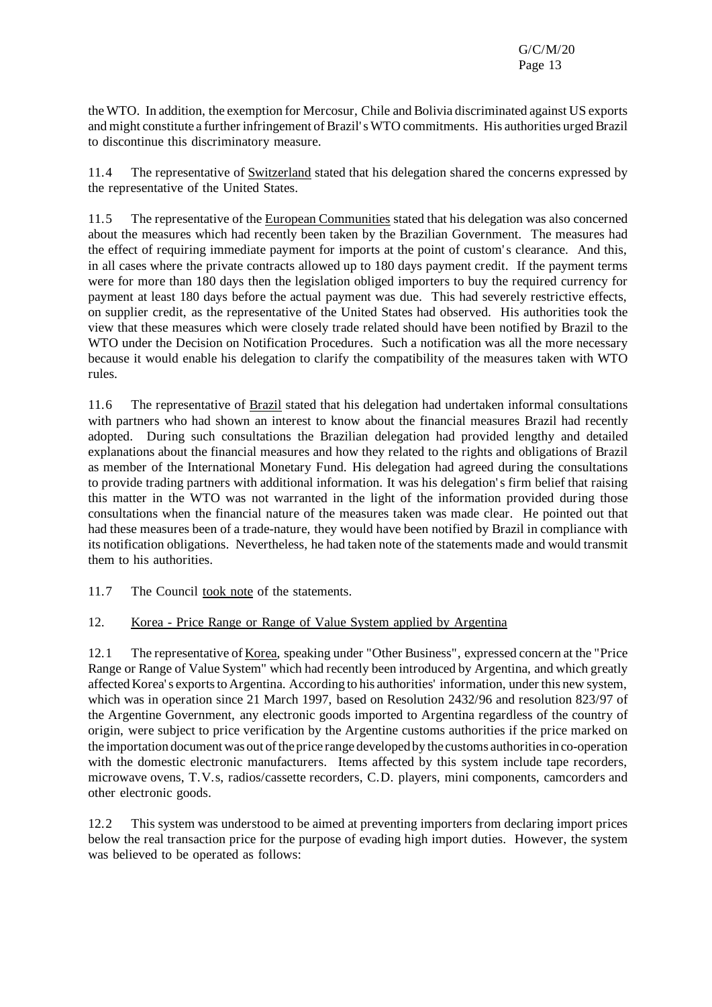the WTO. In addition, the exemption for Mercosur, Chile and Bolivia discriminated against US exports and might constitute a further infringement of Brazil's WTO commitments. His authorities urged Brazil to discontinue this discriminatory measure.

11.4 The representative of Switzerland stated that his delegation shared the concerns expressed by the representative of the United States.

11.5 The representative of the European Communities stated that his delegation was also concerned about the measures which had recently been taken by the Brazilian Government. The measures had the effect of requiring immediate payment for imports at the point of custom's clearance. And this, in all cases where the private contracts allowed up to 180 days payment credit. If the payment terms were for more than 180 days then the legislation obliged importers to buy the required currency for payment at least 180 days before the actual payment was due. This had severely restrictive effects, on supplier credit, as the representative of the United States had observed. His authorities took the view that these measures which were closely trade related should have been notified by Brazil to the WTO under the Decision on Notification Procedures. Such a notification was all the more necessary because it would enable his delegation to clarify the compatibility of the measures taken with WTO rules.

11.6 The representative of Brazil stated that his delegation had undertaken informal consultations with partners who had shown an interest to know about the financial measures Brazil had recently adopted. During such consultations the Brazilian delegation had provided lengthy and detailed explanations about the financial measures and how they related to the rights and obligations of Brazil as member of the International Monetary Fund. His delegation had agreed during the consultations to provide trading partners with additional information. It was his delegation's firm belief that raising this matter in the WTO was not warranted in the light of the information provided during those consultations when the financial nature of the measures taken was made clear. He pointed out that had these measures been of a trade-nature, they would have been notified by Brazil in compliance with its notification obligations. Nevertheless, he had taken note of the statements made and would transmit them to his authorities.

11.7 The Council took note of the statements.

# 12. Korea - Price Range or Range of Value System applied by Argentina

12.1 The representative of Korea, speaking under "Other Business", expressed concern at the "Price Range or Range of Value System" which had recently been introduced by Argentina, and which greatly affectedKorea's exportsto Argentina. According to his authorities' information, underthis new system, which was in operation since 21 March 1997, based on Resolution 2432/96 and resolution 823/97 of the Argentine Government, any electronic goods imported to Argentina regardless of the country of origin, were subject to price verification by the Argentine customs authorities if the price marked on the importation document was out of the price range developed by the customs authorities in co-operation with the domestic electronic manufacturers. Items affected by this system include tape recorders, microwave ovens, T.V.s, radios/cassette recorders, C.D. players, mini components, camcorders and other electronic goods.

12.2 This system was understood to be aimed at preventing importers from declaring import prices below the real transaction price for the purpose of evading high import duties. However, the system was believed to be operated as follows: